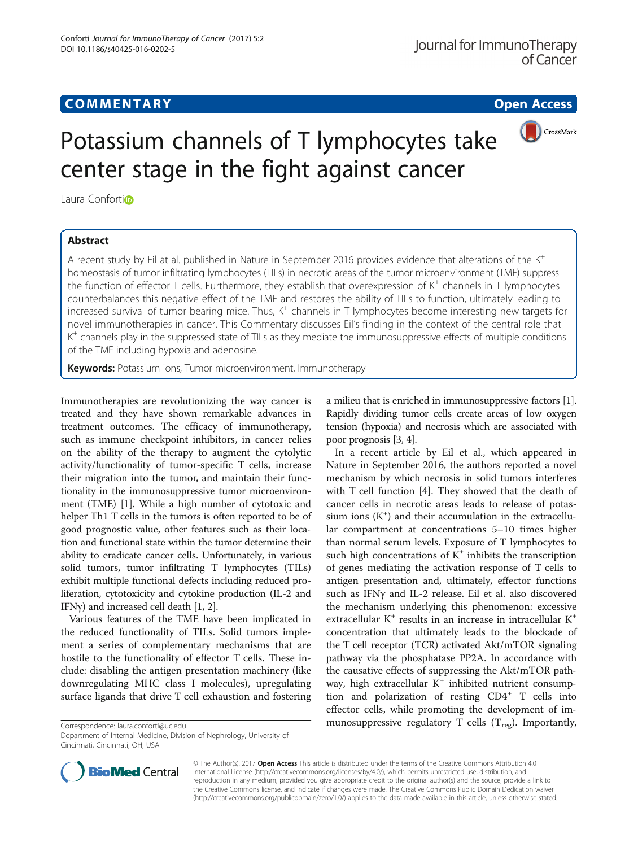# **COMMENTARY COMMENTARY Open Access**



# Potassium channels of T lymphocytes take center stage in the fight against cancer

Laura Confortio

# Abstract

A recent study by Eil at al. published in Nature in September 2016 provides evidence that alterations of the K<sup>+</sup> homeostasis of tumor infiltrating lymphocytes (TILs) in necrotic areas of the tumor microenvironment (TME) suppress the function of effector T cells. Furthermore, they establish that overexpression of K<sup>+</sup> channels in T lymphocytes counterbalances this negative effect of the TME and restores the ability of TILs to function, ultimately leading to increased survival of tumor bearing mice. Thus,  $K^+$  channels in T lymphocytes become interesting new targets for novel immunotherapies in cancer. This Commentary discusses Eil's finding in the context of the central role that  $K^+$  channels play in the suppressed state of TILs as they mediate the immunosuppressive effects of multiple conditions of the TME including hypoxia and adenosine.

Keywords: Potassium ions, Tumor microenvironment, Immunotherapy

Immunotherapies are revolutionizing the way cancer is treated and they have shown remarkable advances in treatment outcomes. The efficacy of immunotherapy, such as immune checkpoint inhibitors, in cancer relies on the ability of the therapy to augment the cytolytic activity/functionality of tumor-specific T cells, increase their migration into the tumor, and maintain their functionality in the immunosuppressive tumor microenvironment (TME) [[1\]](#page-2-0). While a high number of cytotoxic and helper Th1 T cells in the tumors is often reported to be of good prognostic value, other features such as their location and functional state within the tumor determine their ability to eradicate cancer cells. Unfortunately, in various solid tumors, tumor infiltrating T lymphocytes (TILs) exhibit multiple functional defects including reduced proliferation, cytotoxicity and cytokine production (IL-2 and IFN $\gamma$ ) and increased cell death [\[1](#page-2-0), [2](#page-2-0)].

Various features of the TME have been implicated in the reduced functionality of TILs. Solid tumors implement a series of complementary mechanisms that are hostile to the functionality of effector T cells. These include: disabling the antigen presentation machinery (like downregulating MHC class I molecules), upregulating surface ligands that drive T cell exhaustion and fostering

Department of Internal Medicine, Division of Nephrology, University of Cincinnati, Cincinnati, OH, USA

a milieu that is enriched in immunosuppressive factors [[1](#page-2-0)]. Rapidly dividing tumor cells create areas of low oxygen tension (hypoxia) and necrosis which are associated with poor prognosis [\[3, 4](#page-2-0)].

In a recent article by Eil et al., which appeared in Nature in September 2016, the authors reported a novel mechanism by which necrosis in solid tumors interferes with T cell function [\[4](#page-2-0)]. They showed that the death of cancer cells in necrotic areas leads to release of potassium ions  $(K^+)$  and their accumulation in the extracellular compartment at concentrations 5–10 times higher than normal serum levels. Exposure of T lymphocytes to such high concentrations of  $K^+$  inhibits the transcription of genes mediating the activation response of T cells to antigen presentation and, ultimately, effector functions such as IFNγ and IL-2 release. Eil et al. also discovered the mechanism underlying this phenomenon: excessive extracellular K<sup>+</sup> results in an increase in intracellular K<sup>+</sup> concentration that ultimately leads to the blockade of the T cell receptor (TCR) activated Akt/mTOR signaling pathway via the phosphatase PP2A. In accordance with the causative effects of suppressing the Akt/mTOR pathway, high extracellular  $K^+$  inhibited nutrient consumption and polarization of resting  $CD4^+$  T cells into effector cells, while promoting the development of im- $\overline{\text{Conrespondence:} }$  [laura.conforti@uc.edu](mailto:laura.conforti@uc.edu) **http://www.filteratory munosuppressive regulatory T cells (T<sub>reg</sub>). Importantly,** 



© The Author(s). 2017 **Open Access** This article is distributed under the terms of the Creative Commons Attribution 4.0 International License [\(http://creativecommons.org/licenses/by/4.0/](http://creativecommons.org/licenses/by/4.0/)), which permits unrestricted use, distribution, and reproduction in any medium, provided you give appropriate credit to the original author(s) and the source, provide a link to the Creative Commons license, and indicate if changes were made. The Creative Commons Public Domain Dedication waiver [\(http://creativecommons.org/publicdomain/zero/1.0/](http://creativecommons.org/publicdomain/zero/1.0/)) applies to the data made available in this article, unless otherwise stated.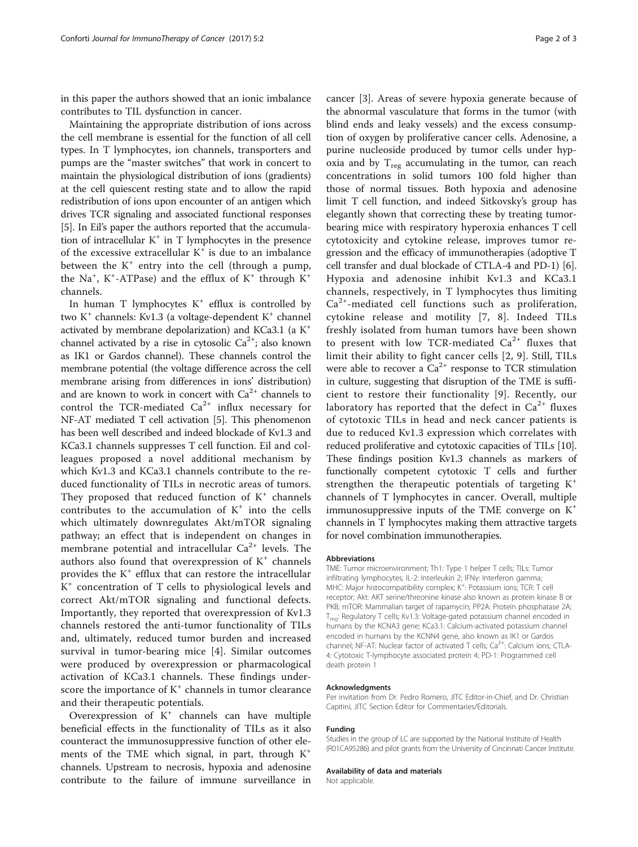in this paper the authors showed that an ionic imbalance contributes to TIL dysfunction in cancer.

Maintaining the appropriate distribution of ions across the cell membrane is essential for the function of all cell types. In T lymphocytes, ion channels, transporters and pumps are the "master switches" that work in concert to maintain the physiological distribution of ions (gradients) at the cell quiescent resting state and to allow the rapid redistribution of ions upon encounter of an antigen which drives TCR signaling and associated functional responses [[5\]](#page-2-0). In Eil's paper the authors reported that the accumulation of intracellular  $K^+$  in T lymphocytes in the presence of the excessive extracellular  $K^+$  is due to an imbalance between the  $K^+$  entry into the cell (through a pump, the Na<sup>+</sup>, K<sup>+</sup>-ATPase) and the efflux of K<sup>+</sup> through K<sup>+</sup> channels.

In human T lymphocytes  $K^+$  efflux is controlled by two  $K^+$  channels: Kv1.3 (a voltage-dependent  $K^+$  channel activated by membrane depolarization) and KCa3.1 (a K+ channel activated by a rise in cytosolic  $Ca^{2+}$ ; also known as IK1 or Gardos channel). These channels control the membrane potential (the voltage difference across the cell membrane arising from differences in ions' distribution) and are known to work in concert with  $Ca^{2+}$  channels to control the TCR-mediated  $Ca^{2+}$  influx necessary for NF-AT mediated T cell activation [\[5\]](#page-2-0). This phenomenon has been well described and indeed blockade of Kv1.3 and KCa3.1 channels suppresses T cell function. Eil and colleagues proposed a novel additional mechanism by which Kv1.3 and KCa3.1 channels contribute to the reduced functionality of TILs in necrotic areas of tumors. They proposed that reduced function of  $K^+$  channels contributes to the accumulation of  $K^+$  into the cells which ultimately downregulates Akt/mTOR signaling pathway; an effect that is independent on changes in membrane potential and intracellular  $Ca^{2+}$  levels. The authors also found that overexpression of  $K^+$  channels provides the  $K^+$  efflux that can restore the intracellular K<sup>+</sup> concentration of T cells to physiological levels and correct Akt/mTOR signaling and functional defects. Importantly, they reported that overexpression of Kv1.3 channels restored the anti-tumor functionality of TILs and, ultimately, reduced tumor burden and increased survival in tumor-bearing mice [\[4](#page-2-0)]. Similar outcomes were produced by overexpression or pharmacological activation of KCa3.1 channels. These findings underscore the importance of  $K^+$  channels in tumor clearance and their therapeutic potentials.

Overexpression of  $K^+$  channels can have multiple beneficial effects in the functionality of TILs as it also counteract the immunosuppressive function of other elements of the TME which signal, in part, through  $K^+$ channels. Upstream to necrosis, hypoxia and adenosine contribute to the failure of immune surveillance in

cancer [\[3](#page-2-0)]. Areas of severe hypoxia generate because of the abnormal vasculature that forms in the tumor (with blind ends and leaky vessels) and the excess consumption of oxygen by proliferative cancer cells. Adenosine, a purine nucleoside produced by tumor cells under hypoxia and by  $T_{reg}$  accumulating in the tumor, can reach concentrations in solid tumors 100 fold higher than those of normal tissues. Both hypoxia and adenosine limit T cell function, and indeed Sitkovsky's group has elegantly shown that correcting these by treating tumorbearing mice with respiratory hyperoxia enhances T cell cytotoxicity and cytokine release, improves tumor regression and the efficacy of immunotherapies (adoptive T cell transfer and dual blockade of CTLA-4 and PD-1) [[6](#page-2-0)]. Hypoxia and adenosine inhibit Kv1.3 and KCa3.1 channels, respectively, in T lymphocytes thus limiting Ca<sup>2+</sup>-mediated cell functions such as proliferation, cytokine release and motility [[7](#page-2-0), [8\]](#page-2-0). Indeed TILs freshly isolated from human tumors have been shown to present with low TCR-mediated  $Ca^{2+}$  fluxes that limit their ability to fight cancer cells [[2](#page-2-0), [9\]](#page-2-0). Still, TILs were able to recover a  $Ca^{2+}$  response to TCR stimulation in culture, suggesting that disruption of the TME is sufficient to restore their functionality [[9](#page-2-0)]. Recently, our laboratory has reported that the defect in  $Ca^{2+}$  fluxes of cytotoxic TILs in head and neck cancer patients is due to reduced Kv1.3 expression which correlates with reduced proliferative and cytotoxic capacities of TILs [[10](#page-2-0)]. These findings position Kv1.3 channels as markers of functionally competent cytotoxic T cells and further strengthen the therapeutic potentials of targeting  $K^+$ channels of T lymphocytes in cancer. Overall, multiple immunosuppressive inputs of the TME converge on  $K^+$ channels in T lymphocytes making them attractive targets for novel combination immunotherapies.

## Abbreviations

TME: Tumor microenvironment; Th1: Type 1 helper T cells; TILs: Tumor infiltrating lymphocytes; IL-2: Interleukin 2; IFNγ: Interferon gamma; MHC: Major histocompatibility complex; K<sup>+</sup>: Potassium ions; TCR: T cell receptor; Akt: AKT serine/threonine kinase also known as protein kinase B or PKB; mTOR: Mammalian target of rapamycin; PP2A: Protein phosphatase 2A; Treg: Regulatory T cells; Kv1.3: Voltage-gated potassium channel encoded in humans by the KCNA3 gene; KCa3.1: Calcium-activated potassium channel encoded in humans by the KCNN4 gene, also known as IK1 or Gardos channel; NF-AT: Nuclear factor of activated T cells;  $Ca^{2+}$ : Calcium ions; CTLA-4: Cytotoxic T-lymphocyte associated protein 4; PD-1: Programmed cell death protein 1

# Acknowledgments

Per invitation from Dr. Pedro Romero, JITC Editor-in-Chief, and Dr. Christian Capitini, JITC Section Editor for Commentaries/Editorials.

# Funding

Studies in the group of LC are supported by the National Institute of Health (R01CA95286) and pilot grants from the University of Cincinnati Cancer Institute.

# Availability of data and materials

Not applicable.